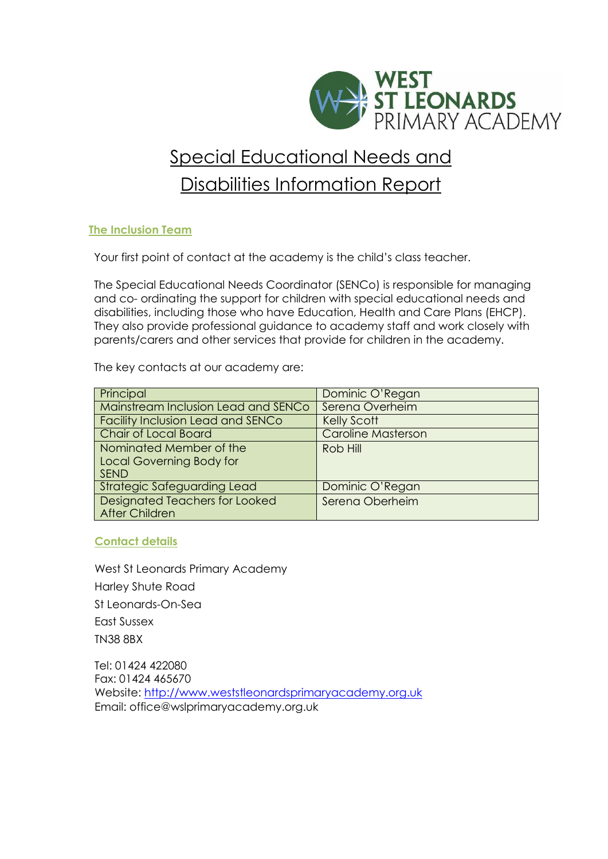

# Special Educational Needs and Disabilities Information Report

# **The Inclusion Team**

Your first point of contact at the academy is the child's class teacher.

The Special Educational Needs Coordinator (SENCo) is responsible for managing and co- ordinating the support for children with special educational needs and disabilities, including those who have Education, Health and Care Plans (EHCP). They also provide professional guidance to academy staff and work closely with parents/carers and other services that provide for children in the academy.

The key contacts at our academy are:

| Principal                                | Dominic O'Regan           |
|------------------------------------------|---------------------------|
| Mainstream Inclusion Lead and SENCo      | Serena Overheim           |
| <b>Facility Inclusion Lead and SENCo</b> | Kelly Scott               |
| <b>Chair of Local Board</b>              | <b>Caroline Masterson</b> |
| Nominated Member of the                  | Rob Hill                  |
| <b>Local Governing Body for</b>          |                           |
| <b>SEND</b>                              |                           |
| <b>Strategic Safeguarding Lead</b>       | Dominic O'Regan           |
| <b>Designated Teachers for Looked</b>    | Serena Oberheim           |
| <b>After Children</b>                    |                           |

**Contact details**

West St Leonards Primary Academy Harley Shute Road St Leonards-On-Sea East Sussex TN38 8BX

Tel: 01424 422080 Fax: 01424 465670 Website: [http://www.weststleonardsprimaryacademy.org.uk](http://www.weststleonardsprimaryacademy.org.uk/) Email: office@wslprimaryacademy.org.uk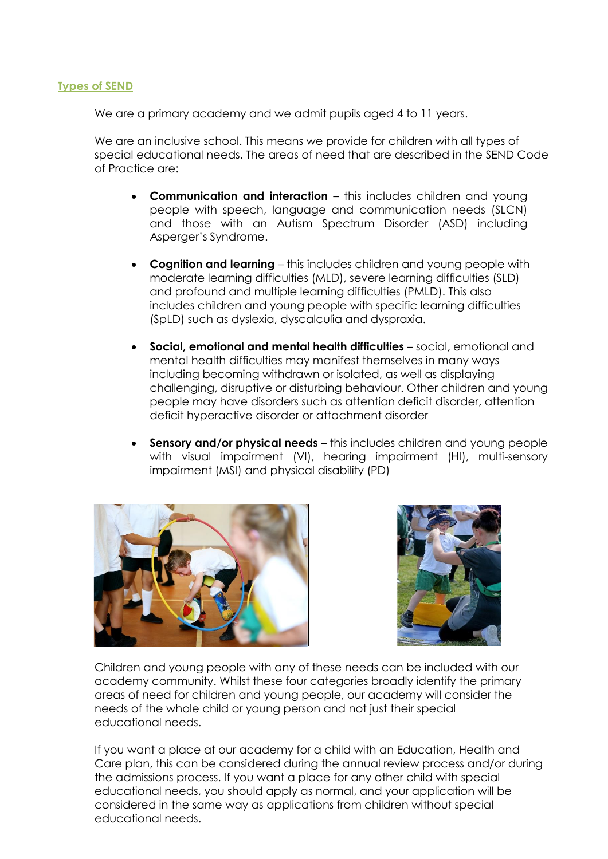#### **Types of SEND**

We are a primary academy and we admit pupils aged 4 to 11 years.

We are an inclusive school. This means we provide for children with all types of special educational needs. The areas of need that are described in the SEND Code of Practice are:

- **Communication and interaction** this includes children and young people with speech, language and communication needs (SLCN) and those with an Autism Spectrum Disorder (ASD) including Asperger's Syndrome.
- **Cognition and learning**  this includes children and young people with moderate learning difficulties (MLD), severe learning difficulties (SLD) and profound and multiple learning difficulties (PMLD). This also includes children and young people with specific learning difficulties (SpLD) such as dyslexia, dyscalculia and dyspraxia.
- **Social, emotional and mental health difficulties**  social, emotional and mental health difficulties may manifest themselves in many ways including becoming withdrawn or isolated, as well as displaying challenging, disruptive or disturbing behaviour. Other children and young people may have disorders such as attention deficit disorder, attention deficit hyperactive disorder or attachment disorder
- **Sensory and/or physical needs**  this includes children and young people with visual impairment (VI), hearing impairment (HI), multi-sensory impairment (MSI) and physical disability (PD)





Children and young people with any of these needs can be included with our academy community. Whilst these four categories broadly identify the primary areas of need for children and young people, our academy will consider the needs of the whole child or young person and not just their special educational needs.

If you want a place at our academy for a child with an Education, Health and Care plan, this can be considered during the annual review process and/or during the admissions process. If you want a place for any other child with special educational needs, you should apply as normal, and your application will be considered in the same way as applications from children without special educational needs.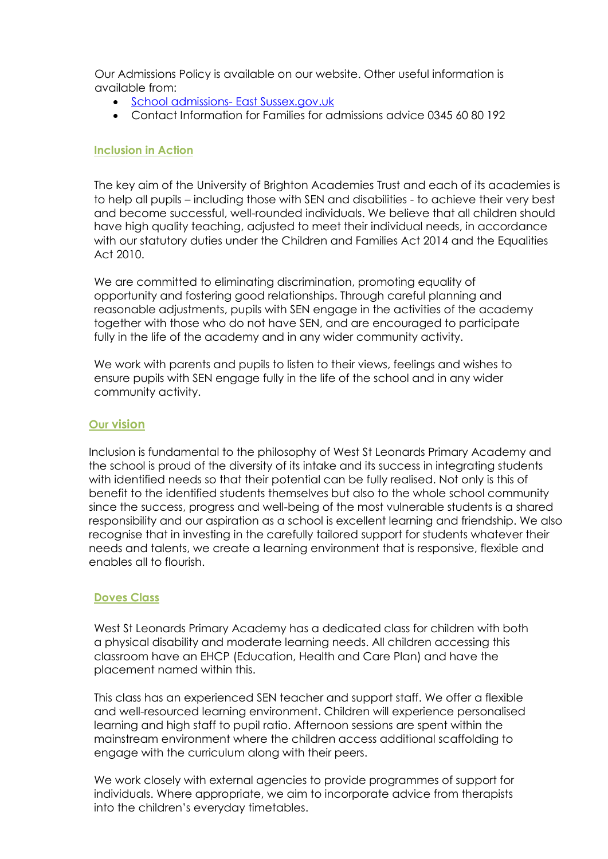Our Admissions Policy is available on our website. Other useful information is available from:

- **[School admissions-](http://www.eastsussex.gov.uk/educationandlearning/schools/findingaschool/default.htm) East Sussex.gov.uk**
- Contact Information for Families for admissions advice 0345 60 80 192

## **Inclusion in Action**

The key aim of the University of Brighton Academies Trust and each of its academies is to help all pupils – including those with SEN and disabilities - to achieve their very best and become successful, well-rounded individuals. We believe that all children should have high quality teaching, adjusted to meet their individual needs, in accordance with our statutory duties under the Children and Families Act 2014 and the Equalities Act 2010.

We are committed to eliminating discrimination, promoting equality of opportunity and fostering good relationships. Through careful planning and reasonable adjustments, pupils with SEN engage in the activities of the academy together with those who do not have SEN, and are encouraged to participate fully in the life of the academy and in any wider community activity.

We work with parents and pupils to listen to their views, feelings and wishes to ensure pupils with SEN engage fully in the life of the school and in any wider community activity.

# **Our vision**

Inclusion is fundamental to the philosophy of West St Leonards Primary Academy and the school is proud of the diversity of its intake and its success in integrating students with identified needs so that their potential can be fully realised. Not only is this of benefit to the identified students themselves but also to the whole school community since the success, progress and well-being of the most vulnerable students is a shared responsibility and our aspiration as a school is excellent learning and friendship. We also recognise that in investing in the carefully tailored support for students whatever their needs and talents, we create a learning environment that is responsive, flexible and enables all to flourish.

# **Doves Class**

West St Leonards Primary Academy has a dedicated class for children with both a physical disability and moderate learning needs. All children accessing this classroom have an EHCP (Education, Health and Care Plan) and have the placement named within this.

This class has an experienced SEN teacher and support staff. We offer a flexible and well-resourced learning environment. Children will experience personalised learning and high staff to pupil ratio. Afternoon sessions are spent within the mainstream environment where the children access additional scaffolding to engage with the curriculum along with their peers.

We work closely with external agencies to provide programmes of support for individuals. Where appropriate, we aim to incorporate advice from therapists into the children's everyday timetables.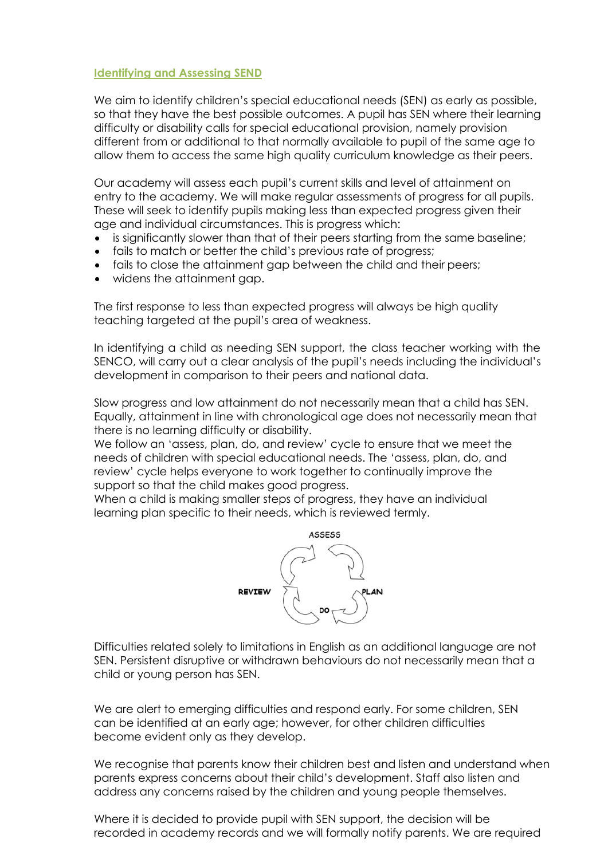## **Identifying and Assessing SEND**

We aim to identify children's special educational needs (SEN) as early as possible, so that they have the best possible outcomes. A pupil has SEN where their learning difficulty or disability calls for special educational provision, namely provision different from or additional to that normally available to pupil of the same age to allow them to access the same high quality curriculum knowledge as their peers.

Our academy will assess each pupil's current skills and level of attainment on entry to the academy. We will make regular assessments of progress for all pupils. These will seek to identify pupils making less than expected progress given their age and individual circumstances. This is progress which:

- is significantly slower than that of their peers starting from the same baseline;
- fails to match or better the child's previous rate of progress;
- fails to close the attainment gap between the child and their peers;
- widens the attainment gap.

The first response to less than expected progress will always be high quality teaching targeted at the pupil's area of weakness.

In identifying a child as needing SEN support, the class teacher working with the SENCO, will carry out a clear analysis of the pupil's needs including the individual's development in comparison to their peers and national data.

Slow progress and low attainment do not necessarily mean that a child has SEN. Equally, attainment in line with chronological age does not necessarily mean that there is no learning difficulty or disability.

We follow an 'assess, plan, do, and review' cycle to ensure that we meet the needs of children with special educational needs. The 'assess, plan, do, and review' cycle helps everyone to work together to continually improve the support so that the child makes good progress.

When a child is making smaller steps of progress, they have an individual learning plan specific to their needs, which is reviewed termly.



Difficulties related solely to limitations in English as an additional language are not SEN. Persistent disruptive or withdrawn behaviours do not necessarily mean that a child or young person has SEN.

We are alert to emerging difficulties and respond early. For some children, SEN can be identified at an early age; however, for other children difficulties become evident only as they develop.

We recognise that parents know their children best and listen and understand when parents express concerns about their child's development. Staff also listen and address any concerns raised by the children and young people themselves.

Where it is decided to provide pupil with SEN support, the decision will be recorded in academy records and we will formally notify parents. We are required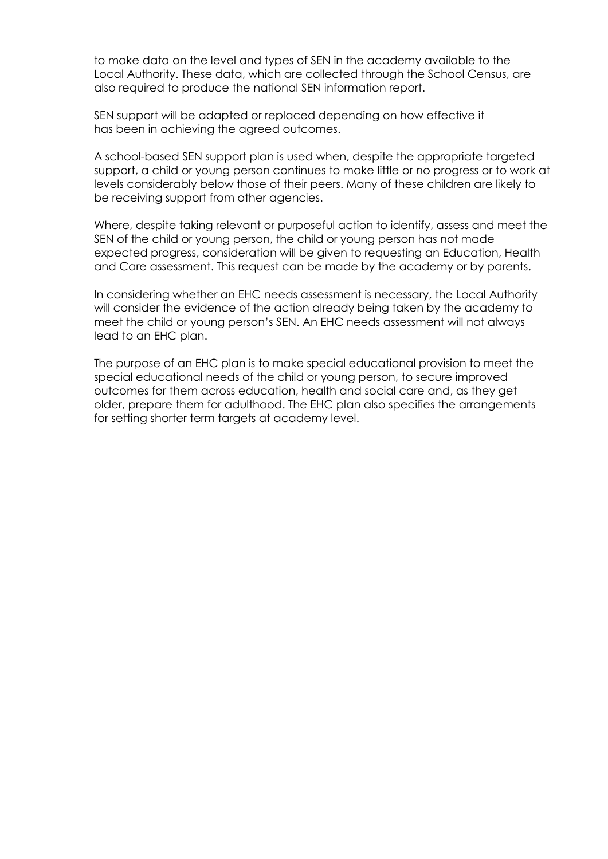to make data on the level and types of SEN in the academy available to the Local Authority. These data, which are collected through the School Census, are also required to produce the national SEN information report.

SEN support will be adapted or replaced depending on how effective it has been in achieving the agreed outcomes.

A school-based SEN support plan is used when, despite the appropriate targeted support, a child or young person continues to make little or no progress or to work at levels considerably below those of their peers. Many of these children are likely to be receiving support from other agencies.

Where, despite taking relevant or purposeful action to identify, assess and meet the SEN of the child or young person, the child or young person has not made expected progress, consideration will be given to requesting an Education, Health and Care assessment. This request can be made by the academy or by parents.

In considering whether an EHC needs assessment is necessary, the Local Authority will consider the evidence of the action already being taken by the academy to meet the child or young person's SEN. An EHC needs assessment will not always lead to an EHC plan.

The purpose of an EHC plan is to make special educational provision to meet the special educational needs of the child or young person, to secure improved outcomes for them across education, health and social care and, as they get older, prepare them for adulthood. The EHC plan also specifies the arrangements for setting shorter term targets at academy level.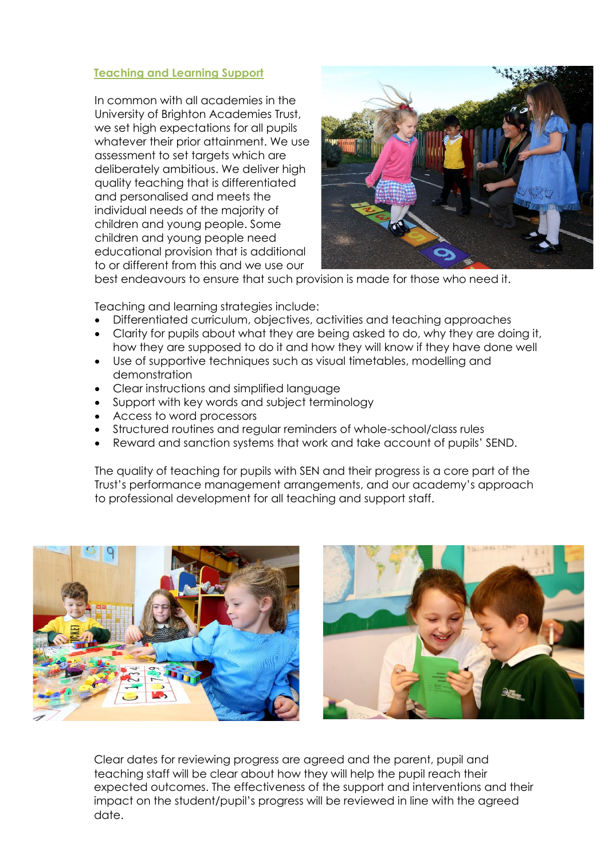## **Teaching and Learning Support**

In common with all academies in the University of Brighton Academies Trust, we set high expectations for all pupils whatever their prior attainment. We use assessment to set targets which are deliberately ambitious. We deliver high quality teaching that is differentiated and personalised and meets the individual needs of the majority of children and young people. Some children and young people need educational provision that is additional to or different from this and we use our



best endeavours to ensure that such provision is made for those who need it.

Teaching and learning strategies include:

- Differentiated curriculum, objectives, activities and teaching approaches
- Clarity for pupils about what they are being asked to do, why they are doing it, how they are supposed to do it and how they will know if they have done well
- Use of supportive techniques such as visual timetables, modelling and demonstration
- Clear instructions and simplified language
- Support with key words and subject terminology
- Access to word processors
- Structured routines and regular reminders of whole-school/class rules
- Reward and sanction systems that work and take account of pupils' SEND.

The quality of teaching for pupils with SEN and their progress is a core part of the Trust's performance management arrangements, and our academy's approach to professional development for all teaching and support staff.



Clear dates for reviewing progress are agreed and the parent, pupil and teaching staff will be clear about how they will help the pupil reach their expected outcomes. The effectiveness of the support and interventions and their impact on the student/pupil's progress will be reviewed in line with the agreed date.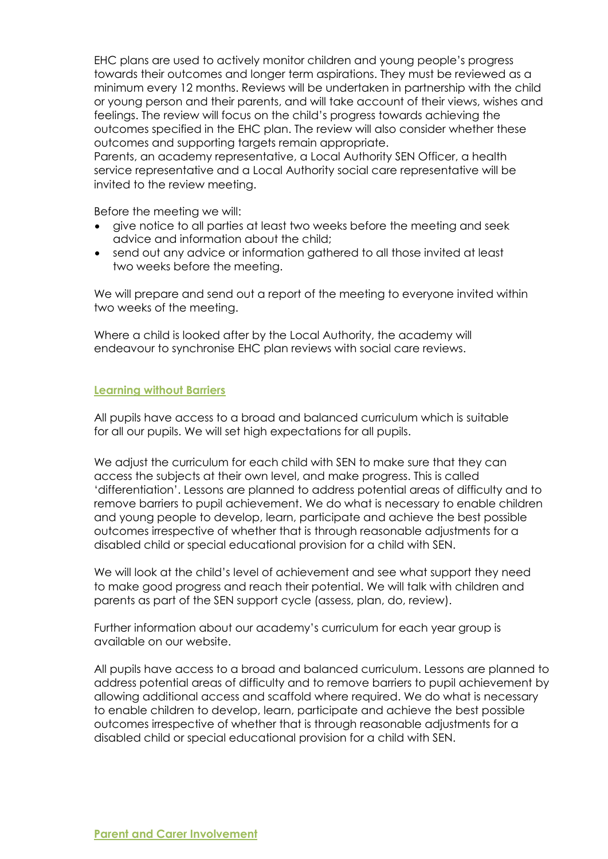EHC plans are used to actively monitor children and young people's progress towards their outcomes and longer term aspirations. They must be reviewed as a minimum every 12 months. Reviews will be undertaken in partnership with the child or young person and their parents, and will take account of their views, wishes and feelings. The review will focus on the child's progress towards achieving the outcomes specified in the EHC plan. The review will also consider whether these outcomes and supporting targets remain appropriate.

Parents, an academy representative, a Local Authority SEN Officer, a health service representative and a Local Authority social care representative will be invited to the review meeting.

Before the meeting we will:

- give notice to all parties at least two weeks before the meeting and seek advice and information about the child;
- send out any advice or information gathered to all those invited at least two weeks before the meeting.

We will prepare and send out a report of the meeting to everyone invited within two weeks of the meeting.

Where a child is looked after by the Local Authority, the academy will endeavour to synchronise EHC plan reviews with social care reviews.

#### **Learning without Barriers**

All pupils have access to a broad and balanced curriculum which is suitable for all our pupils. We will set high expectations for all pupils.

We adjust the curriculum for each child with SEN to make sure that they can access the subjects at their own level, and make progress. This is called 'differentiation'. Lessons are planned to address potential areas of difficulty and to remove barriers to pupil achievement. We do what is necessary to enable children and young people to develop, learn, participate and achieve the best possible outcomes irrespective of whether that is through reasonable adjustments for a disabled child or special educational provision for a child with SEN.

We will look at the child's level of achievement and see what support they need to make good progress and reach their potential. We will talk with children and parents as part of the SEN support cycle (assess, plan, do, review).

Further information about our academy's curriculum for each year group is available on our website.

All pupils have access to a broad and balanced curriculum. Lessons are planned to address potential areas of difficulty and to remove barriers to pupil achievement by allowing additional access and scaffold where required. We do what is necessary to enable children to develop, learn, participate and achieve the best possible outcomes irrespective of whether that is through reasonable adjustments for a disabled child or special educational provision for a child with SEN.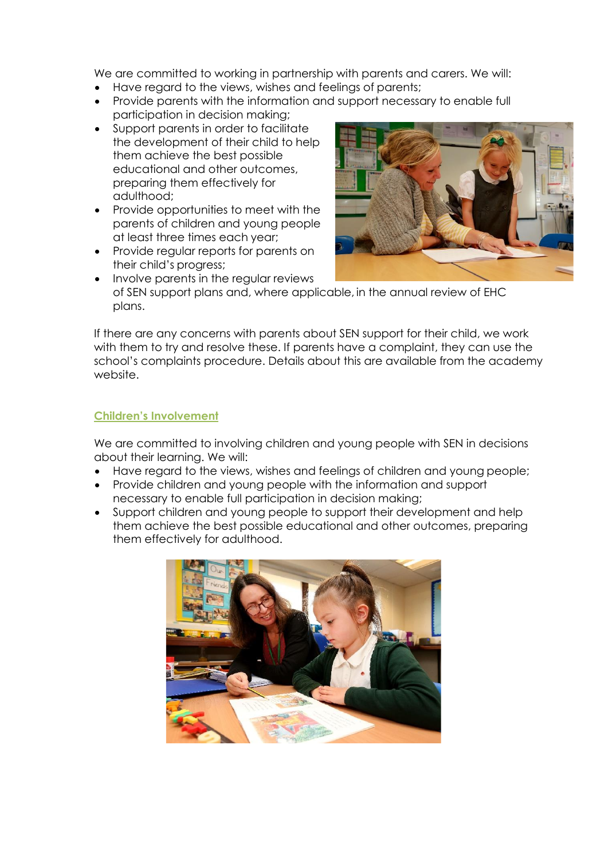We are committed to working in partnership with parents and carers. We will:

- Have regard to the views, wishes and feelings of parents;
- Provide parents with the information and support necessary to enable full participation in decision making;
- Support parents in order to facilitate the development of their child to help them achieve the best possible educational and other outcomes, preparing them effectively for adulthood;
- Provide opportunities to meet with the parents of children and young people at least three times each year;
- Provide regular reports for parents on their child's progress;



 Involve parents in the regular reviews of SEN support plans and, where applicable, in the annual review of EHC plans.

If there are any concerns with parents about SEN support for their child, we work with them to try and resolve these. If parents have a complaint, they can use the school's complaints procedure. Details about this are available from the academy website.

# **Children's Involvement**

We are committed to involving children and young people with SEN in decisions about their learning. We will:

- Have regard to the views, wishes and feelings of children and young people;
- Provide children and young people with the information and support necessary to enable full participation in decision making;
- Support children and young people to support their development and help them achieve the best possible educational and other outcomes, preparing them effectively for adulthood.

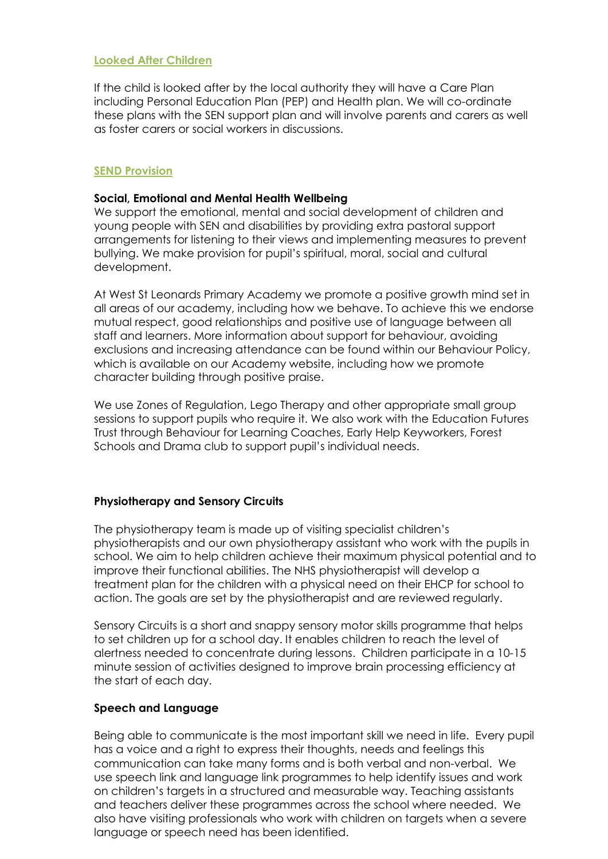#### **Looked After Children**

If the child is looked after by the local authority they will have a Care Plan including Personal Education Plan (PEP) and Health plan. We will co-ordinate these plans with the SEN support plan and will involve parents and carers as well as foster carers or social workers in discussions.

## **SEND Provision**

#### **Social, Emotional and Mental Health Wellbeing**

We support the emotional, mental and social development of children and young people with SEN and disabilities by providing extra pastoral support arrangements for listening to their views and implementing measures to prevent bullying. We make provision for pupil's spiritual, moral, social and cultural development.

At West St Leonards Primary Academy we promote a positive growth mind set in all areas of our academy, including how we behave. To achieve this we endorse mutual respect, good relationships and positive use of language between all staff and learners. More information about support for behaviour, avoiding exclusions and increasing attendance can be found within our Behaviour Policy, which is available on our Academy website, including how we promote character building through positive praise.

We use Zones of Regulation, Lego Therapy and other appropriate small group sessions to support pupils who require it. We also work with the Education Futures Trust through Behaviour for Learning Coaches, Early Help Keyworkers, Forest Schools and Drama club to support pupil's individual needs.

#### **Physiotherapy and Sensory Circuits**

The physiotherapy team is made up of visiting specialist children's physiotherapists and our own physiotherapy assistant who work with the pupils in school. We aim to help children achieve their maximum physical potential and to improve their functional abilities. The NHS physiotherapist will develop a treatment plan for the children with a physical need on their EHCP for school to action. The goals are set by the physiotherapist and are reviewed regularly.

Sensory Circuits is a short and snappy sensory motor skills programme that helps to set children up for a school day. It enables children to reach the level of alertness needed to concentrate during lessons. Children participate in a 10-15 minute session of activities designed to improve brain processing efficiency at the start of each day.

#### **Speech and Language**

Being able to communicate is the most important skill we need in life. Every pupil has a voice and a right to express their thoughts, needs and feelings this communication can take many forms and is both verbal and non-verbal. We use speech link and language link programmes to help identify issues and work on children's targets in a structured and measurable way. Teaching assistants and teachers deliver these programmes across the school where needed. We also have visiting professionals who work with children on targets when a severe language or speech need has been identified.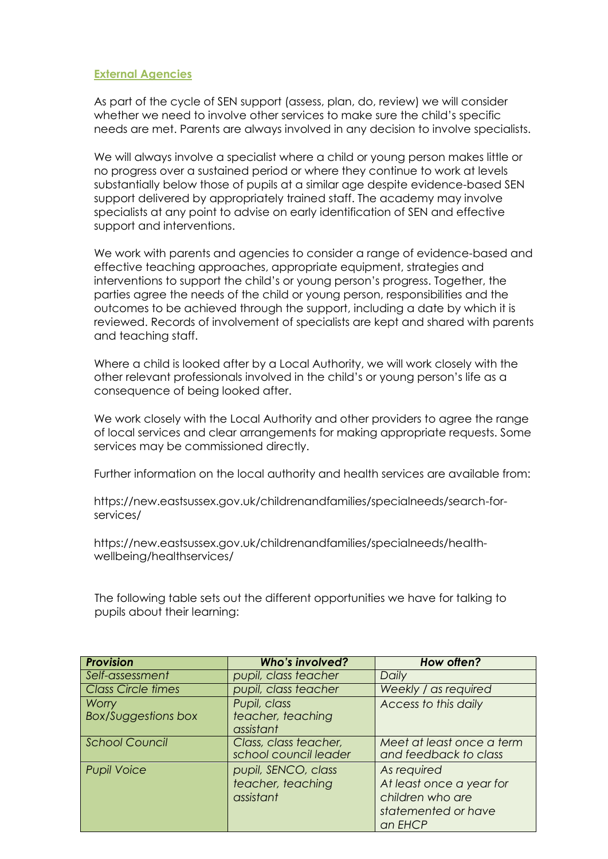## **External Agencies**

As part of the cycle of SEN support (assess, plan, do, review) we will consider whether we need to involve other services to make sure the child's specific needs are met. Parents are always involved in any decision to involve specialists.

We will always involve a specialist where a child or young person makes little or no progress over a sustained period or where they continue to work at levels substantially below those of pupils at a similar age despite evidence-based SEN support delivered by appropriately trained staff. The academy may involve specialists at any point to advise on early identification of SEN and effective support and interventions.

We work with parents and agencies to consider a range of evidence-based and effective teaching approaches, appropriate equipment, strategies and interventions to support the child's or young person's progress. Together, the parties agree the needs of the child or young person, responsibilities and the outcomes to be achieved through the support, including a date by which it is reviewed. Records of involvement of specialists are kept and shared with parents and teaching staff.

Where a child is looked after by a Local Authority, we will work closely with the other relevant professionals involved in the child's or young person's life as a consequence of being looked after.

We work closely with the Local Authority and other providers to agree the range of local services and clear arrangements for making appropriate requests. Some services may be commissioned directly.

Further information on the local authority and health services are available from:

https://new.eastsussex.gov.uk/childrenandfamilies/specialneeds/search-forservices/

https://new.eastsussex.gov.uk/childrenandfamilies/specialneeds/healthwellbeing/healthservices/

The following table sets out the different opportunities we have for talking to pupils about their learning:

| <b>Provision</b>          | <b>Who's involved?</b> | How often?                |
|---------------------------|------------------------|---------------------------|
| Self-assessment           | pupil, class teacher   | Daily                     |
| <b>Class Circle times</b> | pupil, class teacher   | Weekly / as required      |
| Worry                     | Pupil, class           | Access to this daily      |
| Box/Suggestions box       | teacher, teaching      |                           |
|                           | assistant              |                           |
| <b>School Council</b>     | Class, class teacher,  | Meet at least once a term |
|                           | school council leader  | and feedback to class     |
| <b>Pupil Voice</b>        | pupil, SENCO, class    | As required               |
|                           | teacher, teaching      | At least once a year for  |
|                           | assistant              | children who are          |
|                           |                        | statemented or have       |
|                           |                        | an EHCP                   |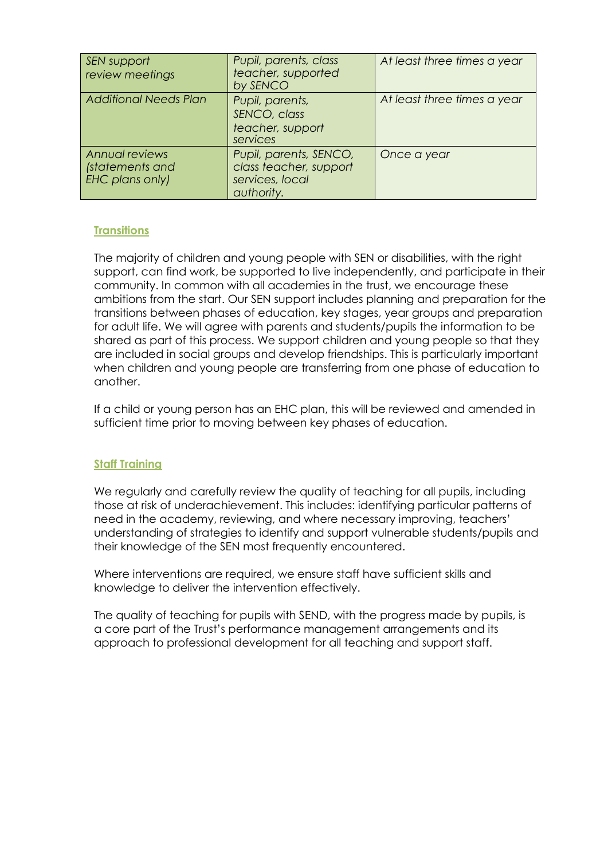| SEN support<br>review meetings                              | Pupil, parents, class<br>teacher, supported<br>by SENCO                           | At least three times a year |
|-------------------------------------------------------------|-----------------------------------------------------------------------------------|-----------------------------|
| <b>Additional Needs Plan</b>                                | Pupil, parents,<br>SENCO, class<br>teacher, support<br>services                   | At least three times a year |
| <b>Annual reviews</b><br>(statements and<br>EHC plans only) | Pupil, parents, SENCO,<br>class teacher, support<br>services, local<br>authority. | Once a year                 |

# **Transitions**

The majority of children and young people with SEN or disabilities, with the right support, can find work, be supported to live independently, and participate in their community. In common with all academies in the trust, we encourage these ambitions from the start. Our SEN support includes planning and preparation for the transitions between phases of education, key stages, year groups and preparation for adult life. We will agree with parents and students/pupils the information to be shared as part of this process. We support children and young people so that they are included in social groups and develop friendships. This is particularly important when children and young people are transferring from one phase of education to another.

If a child or young person has an EHC plan, this will be reviewed and amended in sufficient time prior to moving between key phases of education.

#### **Staff Training**

We regularly and carefully review the quality of teaching for all pupils, including those at risk of underachievement. This includes: identifying particular patterns of need in the academy, reviewing, and where necessary improving, teachers' understanding of strategies to identify and support vulnerable students/pupils and their knowledge of the SEN most frequently encountered.

Where interventions are required, we ensure staff have sufficient skills and knowledge to deliver the intervention effectively.

The quality of teaching for pupils with SEND, with the progress made by pupils, is a core part of the Trust's performance management arrangements and its approach to professional development for all teaching and support staff.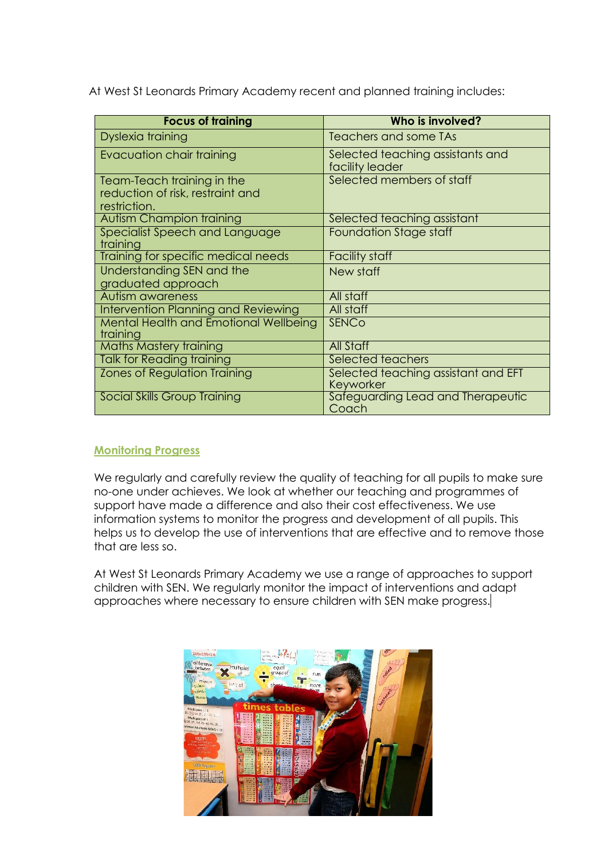At West St Leonards Primary Academy recent and planned training includes:

| <b>Focus of training</b>                                                       | Who is involved?                                    |
|--------------------------------------------------------------------------------|-----------------------------------------------------|
| Dyslexia training                                                              | Teachers and some TAs                               |
| Evacuation chair training                                                      | Selected teaching assistants and<br>facility leader |
| Team-Teach training in the<br>reduction of risk, restraint and<br>restriction. | Selected members of staff                           |
| <b>Autism Champion training</b>                                                | Selected teaching assistant                         |
| Specialist Speech and Language<br>training                                     | Foundation Stage staff                              |
| Training for specific medical needs                                            | Facility staff                                      |
| Understanding SEN and the<br>graduated approach                                | New staff                                           |
| Autism awareness                                                               | All staff                                           |
| Intervention Planning and Reviewing                                            | All staff                                           |
| <b>Mental Health and Emotional Wellbeing</b><br>training                       | <b>SENCO</b>                                        |
| <b>Maths Mastery training</b>                                                  | <b>All Staff</b>                                    |
| <b>Talk for Reading training</b>                                               | Selected teachers                                   |
| <b>Zones of Regulation Training</b>                                            | Selected teaching assistant and EFT<br>Keyworker    |
| <b>Social Skills Group Training</b>                                            | Safeguarding Lead and Therapeutic<br>Coach          |

# **Monitoring Progress**

We regularly and carefully review the quality of teaching for all pupils to make sure no-one under achieves. We look at whether our teaching and programmes of support have made a difference and also their cost effectiveness. We use information systems to monitor the progress and development of all pupils. This helps us to develop the use of interventions that are effective and to remove those that are less so.

At West St Leonards Primary Academy we use a range of approaches to support children with SEN. We regularly monitor the impact of interventions and adapt approaches where necessary to ensure children with SEN make progress.

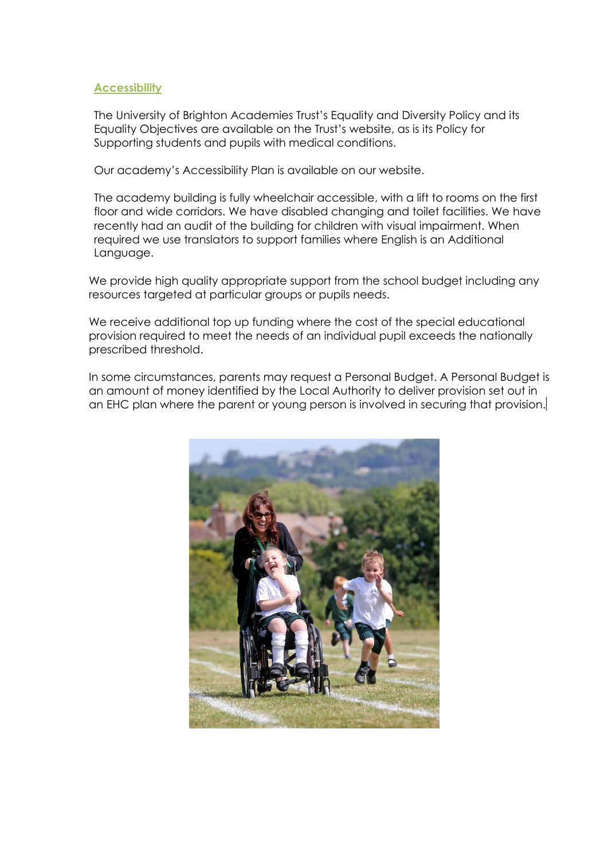## **Accessibility**

The University of Brighton Academies Trust's Equality and Diversity Policy and its Equality Objectives are available on the Trust's website, as is its Policy for Supporting students and pupils with medical conditions.

Our academy's Accessibility Plan is available on our website.

The academy building is fully wheelchair accessible, with a lift to rooms on the first floor and wide corridors. We have disabled changing and toilet facilities. We have recently had an audit of the building for children with visual impairment. When required we use translators to support families where English is an Additional Language.

We provide high quality appropriate support from the school budget including any resources targeted at particular groups or pupils needs.

We receive additional top up funding where the cost of the special educational provision required to meet the needs of an individual pupil exceeds the nationally prescribed threshold.

In some circumstances, parents may request a Personal Budget. A Personal Budget is an amount of money identified by the Local Authority to deliver provision set out in an EHC plan where the parent or young person is involved in securing that provision.